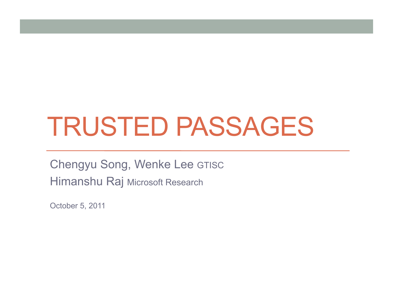# TRUSTED PASSAGES

Chengyu Song, Wenke Lee GTISC Himanshu Raj Microsoft Research

October 5, 2011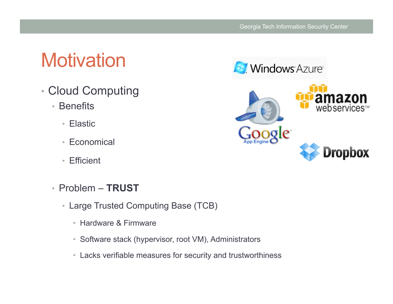## **Motivation**

- Cloud Computing
	- Benefits
		- Elastic
		- Economical
		- Efficient
	- Problem **TRUST** 
		- Large Trusted Computing Base (TCB)
			- Hardware & Firmware
			- Software stack (hypervisor, root VM), Administrators
			- Lacks verifiable measures for security and trustworthiness



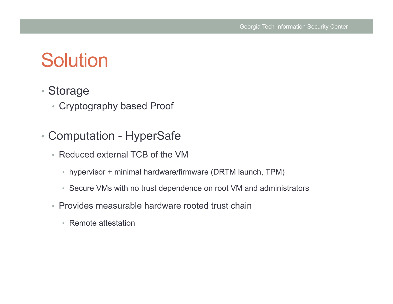## **Solution**

- Storage
	- Cryptography based Proof
- Computation HyperSafe
	- Reduced external TCB of the VM
		- hypervisor + minimal hardware/firmware (DRTM launch, TPM)
		- Secure VMs with no trust dependence on root VM and administrators
	- Provides measurable hardware rooted trust chain
		- Remote attestation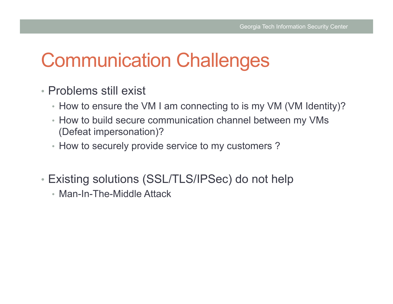## Communication Challenges

- Problems still exist
	- How to ensure the VM I am connecting to is my VM (VM Identity)?
	- How to build secure communication channel between my VMs (Defeat impersonation)?
	- How to securely provide service to my customers ?
- Existing solutions (SSL/TLS/IPSec) do not help
	- Man-In-The-Middle Attack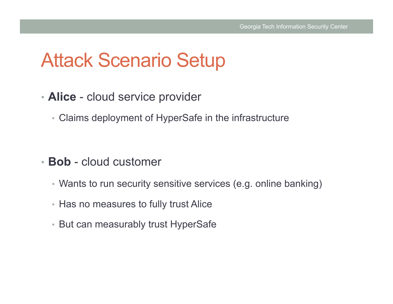### Attack Scenario Setup

- **Alice** cloud service provider
	- Claims deployment of HyperSafe in the infrastructure

- **Bob** cloud customer
	- Wants to run security sensitive services (e.g. online banking)
	- Has no measures to fully trust Alice
	- But can measurably trust HyperSafe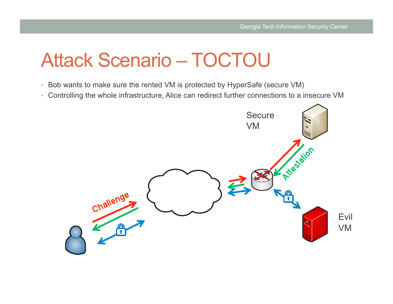## Attack Scenario – TOCTOU

- Bob wants to make sure the rented VM is protected by HyperSafe (secure VM)
- Controlling the whole infrastructure, Alice can redirect further connections to a insecure VM

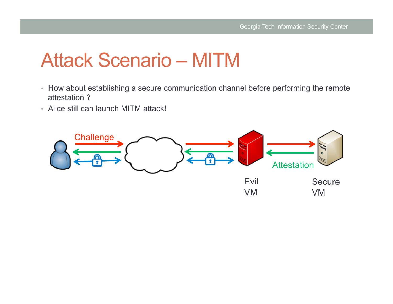## Attack Scenario – MITM

- How about establishing a secure communication channel before performing the remote attestation ?
- Alice still can launch MITM attack!

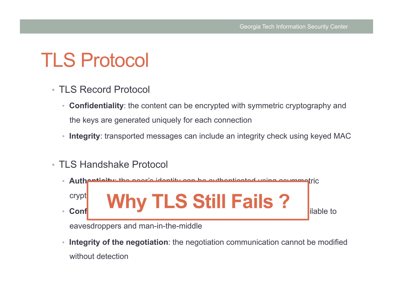## TLS Protocol

- TLS Record Protocol
	- **Confidentiality**: the content can be encrypted with symmetric cryptography and the keys are generated uniquely for each connection
	- **Integrity**: transported messages can include an integrity check using keyed MAC
- TLS Handshake Protocol



eavesdroppers and man-in-the-middle

• **Integrity of the negotiation**: the negotiation communication cannot be modified without detection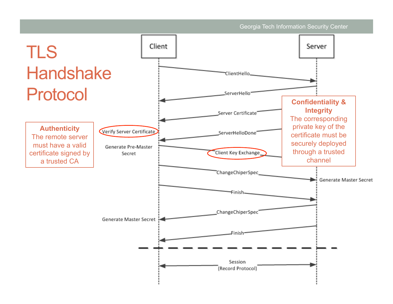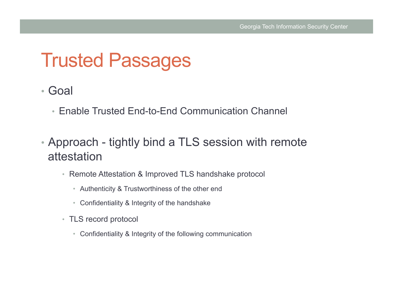#### Trusted Passages

- Goal
	- Enable Trusted End-to-End Communication Channel
- Approach tightly bind a TLS session with remote attestation
	- Remote Attestation & Improved TLS handshake protocol
		- Authenticity & Trustworthiness of the other end
		- Confidentiality & Integrity of the handshake
	- TLS record protocol
		- Confidentiality & Integrity of the following communication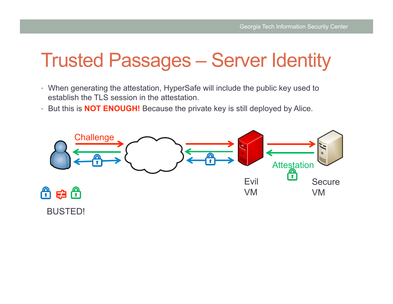## Trusted Passages – Server Identity

- When generating the attestation, HyperSafe will include the public key used to establish the TLS session in the attestation.
- But this is **NOT ENOUGH!** Because the private key is still deployed by Alice.



BUSTED!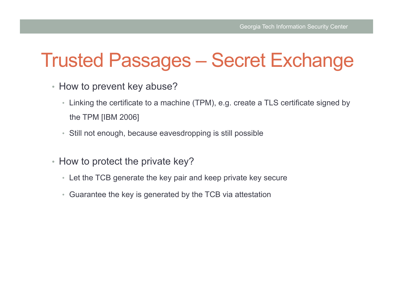### Trusted Passages – Secret Exchange

- How to prevent key abuse?
	- Linking the certificate to a machine (TPM), e.g. create a TLS certificate signed by the TPM [IBM 2006]
	- Still not enough, because eavesdropping is still possible
- How to protect the private key?
	- Let the TCB generate the key pair and keep private key secure
	- Guarantee the key is generated by the TCB via attestation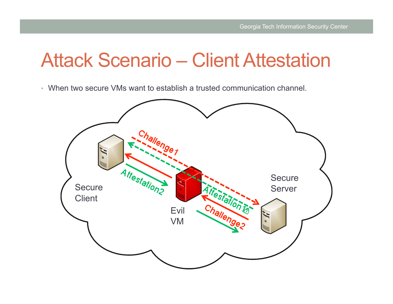#### Attack Scenario – Client Attestation

• When two secure VMs want to establish a trusted communication channel.

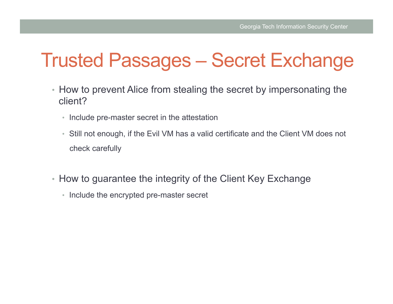### Trusted Passages – Secret Exchange

- How to prevent Alice from stealing the secret by impersonating the client?
	- Include pre-master secret in the attestation
	- Still not enough, if the Evil VM has a valid certificate and the Client VM does not check carefully
- How to guarantee the integrity of the Client Key Exchange
	- Include the encrypted pre-master secret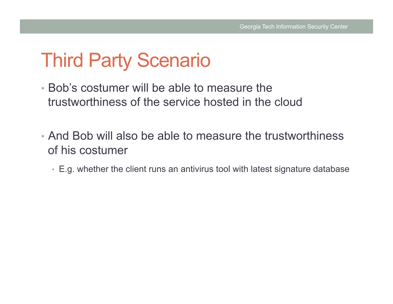## Third Party Scenario

- Bob's costumer will be able to measure the trustworthiness of the service hosted in the cloud
- And Bob will also be able to measure the trustworthiness of his costumer
	- E.g. whether the client runs an antivirus tool with latest signature database